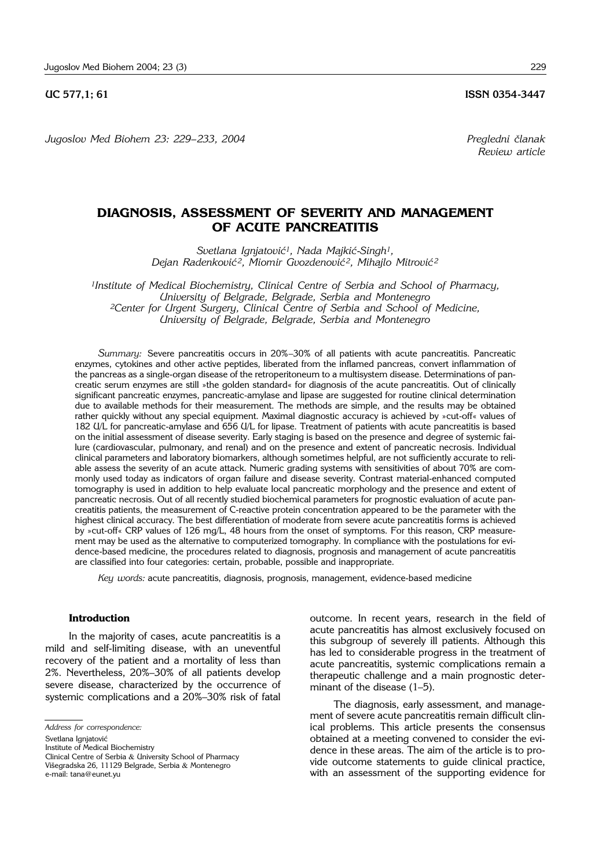*Jugoslov Med Biohem 23: 229– 233, 2004 Pregledni ~lanak*

## **DIAGNOSIS, ASSESSMENT OF SEVERITY AND MANAGEMENT OF ACUTE PANCREATITIS**

*Svetlana Ignjatovi}1, Nada Majki}*-*Singh1, Dejan Radenković<sup>2</sup>, Miomir Gvozdenović<sup>2</sup>, Mihajlo Mitrović<sup>2</sup>* 

*1Institute of Medical Biochemistry, Clinical Centre of Serbia and School of Pharmacy, University of Belgrade, Belgrade, Serbia and Montenegro 2Center for Urgent Surgery, Clinical Centre of Serbia and School of Medicine, University of Belgrade, Belgrade, Serbia and Montenegro*

Summary: Severe pancreatitis occurs in 20%-30% of all patients with acute pancreatitis. Pancreatic enzymes, cytokines and other active peptides, liberated from the inflamed pancreas, convert inflammation of the pancreas as a single-organ disease of the retroperitoneum to a multisystem disease. Determinations of pancreatic serum enzymes are still »the golden standard« for diagnosis of the acute pancreatitis. Out of clinically significant pancreatic enzymes, pancreatic-amylase and lipase are suggested for routine clinical determination due to available methods for their measurement. The methods are simple, and the results may be obtained rather quickly without any special equipment. Maximal diagnostic accuracy is achieved by »cut-off« values of 182 U/L for pancreatic-amylase and 656 U/L for lipase. Treatment of patients with acute pancreatitis is based on the initial assessment of disease severity. Early staging is based on the presence and degree of systemic failure (cardiovascular, pulmonary, and renal) and on the presence and extent of pancreatic necrosis. Individual clinical parameters and laboratory biomarkers, although sometimes helpful, are not sufficiently accurate to reliable assess the severity of an acute attack. Numeric grading systems with sensitivities of about 70% are commonly used today as indicators of organ failure and disease severity. Contrast material-enhanced computed tomography is used in addition to help evaluate local pancreatic morphology and the presence and extent of pancreatic necrosis. Out of all recently studied biochemical parameters for prognostic evaluation of acute pancreatitis patients, the measurement of C-reactive protein concentration appeared to be the parameter with the highest clinical accuracy. The best differentiation of moderate from severe acute pancreatitis forms is achieved by »cut-off« CRP values of 126 mg/L, 48 hours from the onset of symptoms. For this reason, CRP measurement may be used as the alternative to computerized tomography. In compliance with the postulations for evidence-based medicine, the procedures related to diagnosis, prognosis and management of acute pancreatitis are classified into four categories: certain, probable, possible and inappropriate.

*Key words:* acute pancreatitis, diagnosis, prognosis, management, evidence-based medicine

## **Introduction**

In the majority of cases, acute pancreatitis is a mild and self-limiting disease, with an uneventful recovery of the patient and a mortality of less than 2%. Nevertheless, 20%-30% of all patients develop severe disease, characterized by the occurrence of systemic complications and a 20%-30% risk of fatal

*Address for correspondence:*

Svetlana Ignjatović

Institute of Medical Biochemistry

Clinical Centre of Serbia & University School of Pharmacy

Višegradska 26, 11129 Belgrade, Serbia & Montenegro e-mail: tana@eunet.yu

outcome. In recent years, research in the field of acute pancreatitis has almost exclusively focused on this subgroup of severely ill patients. Although this has led to considerable progress in the treatment of acute pancreatitis, systemic complications remain a therapeutic challenge and a main prognostic determinant of the disease  $(1-5)$ .

The diagnosis, early assessment, and management of severe acute pancreatitis remain difficult clinical problems. This article presents the consensus obtained at a meeting convened to consider the evidence in these areas. The aim of the article is to provide outcome statements to guide clinical practice, with an assessment of the supporting evidence for

*Review article*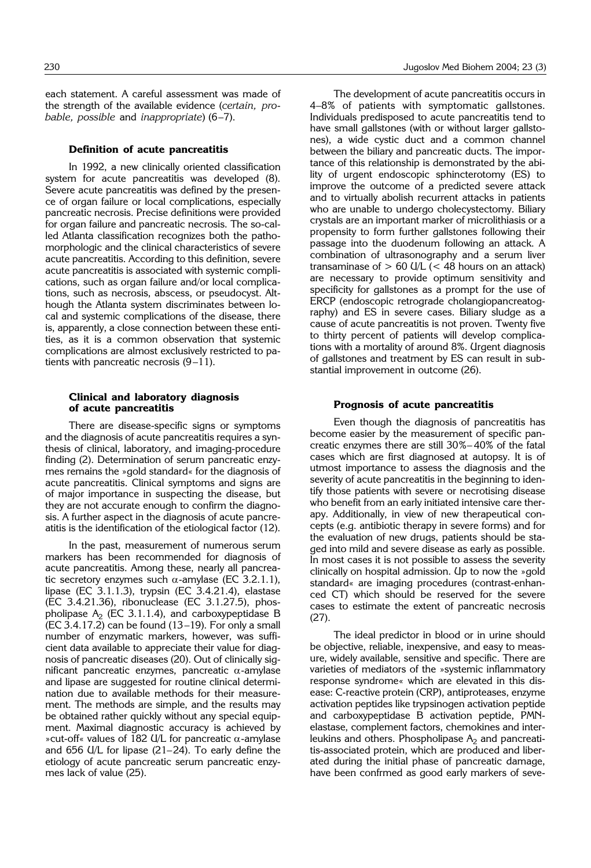each statement. A careful assessment was made of the strength of the available evidence (*certain, probable, possible and inappropriate*) (6-7).

#### **Definition of acute pancreatitis**

In 1992, a new clinically oriented classification system for acute pancreatitis was developed (8). Severe acute pancreatitis was defined by the presence of organ failure or local complications, especially pancreatic necrosis. Precise definitions were provided for organ failure and pancreatic necrosis. The so-called Atlanta classification recognizes both the pathomorphologic and the clinical characteristics of severe acute pancreatitis. According to this definition, severe acute pancreatitis is associated with systemic complications, such as organ failure and/or local complications, such as necrosis, abscess, or pseudocyst. Although the Atlanta system discriminates between local and systemic complications of the disease, there is, apparently, a close connection between these entities, as it is a common observation that systemic complications are almost exclusively restricted to patients with pancreatic necrosis  $(9-11)$ .

## **Clinical and laboratory diagnosis of acute pancreatitis**

There are disease-specific signs or symptoms and the diagnosis of acute pancreatitis requires a synthesis of clinical, laboratory, and imaging-procedure finding (2). Determination of serum pancreatic enzymes remains the »gold standard« for the diagnosis of acute pancreatitis. Clinical symptoms and signs are of major importance in suspecting the disease, but they are not accurate enough to confirm the diagnosis. A further aspect in the diagnosis of acute pancreatitis is the identification of the etiological factor (12).

In the past, measurement of numerous serum markers has been recommended for diagnosis of acute pancreatitis. Among these, nearly all pancreatic secretory enzymes such  $\alpha$ -amylase (EC 3.2.1.1), lipase (EC 3.1.1.3), trypsin (EC 3.4.21.4), elastase (EC 3.4.21.36), ribonuclease (EC 3.1.27.5), phospholipase  $A_2$  (EC 3.1.1.4), and carboxypeptidase B  $(EC 3.4.17.2)$  can be found  $(13-19)$ . For only a small number of enzymatic markers, however, was sufficient data available to appreciate their value for diagnosis of pancreatic diseases (20). Out of clinically significant pancreatic enzymes, pancreatic  $\alpha$ -amylase and lipase are suggested for routine clinical determination due to available methods for their measurement. The methods are simple, and the results may be obtained rather quickly without any special equipment. Maximal diagnostic accuracy is achieved by »cut-off« values of 182 U/L for pancreatic  $\alpha$ -amylase and  $656$  U/L for lipase (21-24). To early define the etiology of acute pancreatic serum pancreatic enzymes lack of value (25).

The development of acute pancreatitis occurs in 4–8% of patients with symptomatic gallstones. Individuals predisposed to acute pancreatitis tend to have small gallstones (with or without larger gallstones), a wide cystic duct and a common channel between the biliary and pancreatic ducts. The importance of this relationship is demonstrated by the ability of urgent endoscopic sphincterotomy (ES) to improve the outcome of a predicted severe attack and to virtually abolish recurrent attacks in patients who are unable to undergo cholecystectomy. Biliary crystals are an important marker of microlithiasis or a propensity to form further gallstones following their passage into the duodenum following an attack. A combination of ultrasonography and a serum liver transaminase of  $> 60$  U/L (< 48 hours on an attack) are necessary to provide optimum sensitivity and specificity for gallstones as a prompt for the use of ERCP (endoscopic retrograde cholangiopancreatography) and ES in severe cases. Biliary sludge as a cause of acute pancreatitis is not proven. Twenty five to thirty percent of patients will develop complications with a mortality of around 8%. Urgent diagnosis of gallstones and treatment by ES can result in substantial improvement in outcome (26).

#### **Prognosis of acute pancreatitis**

Even though the diagnosis of pancreatitis has become easier by the measurement of specific pancreatic enzymes there are still 30%– 40% of the fatal cases which are first diagnosed at autopsy. It is of utmost importance to assess the diagnosis and the severity of acute pancreatitis in the beginning to identify those patients with severe or necrotising disease who benefit from an early initiated intensive care therapy. Additionally, in view of new therapeutical concepts (e.g. antibiotic therapy in severe forms) and for the evaluation of new drugs, patients should be staged into mild and severe disease as early as possible. In most cases it is not possible to assess the severity clinically on hospital admission. Up to now the »gold standard« are imaging procedures (contrast-enhanced CT) which should be reserved for the severe cases to estimate the extent of pancreatic necrosis (27).

The ideal predictor in blood or in urine should be objective, reliable, inexpensive, and easy to measure, widely available, sensitive and specific. There are varieties of mediators of the »systemic inflammatory response syndrome« which are elevated in this disease: C-reactive protein (CRP), antiproteases, enzyme activation peptides like trypsinogen activation peptide and carboxypeptidase B activation peptide, PMNelastase, complement factors, chemokines and interleukins and others. Phospholipase  $A_2$  and pancreatitis-associated protein, which are produced and liberated during the initial phase of pancreatic damage, have been confrmed as good early markers of seve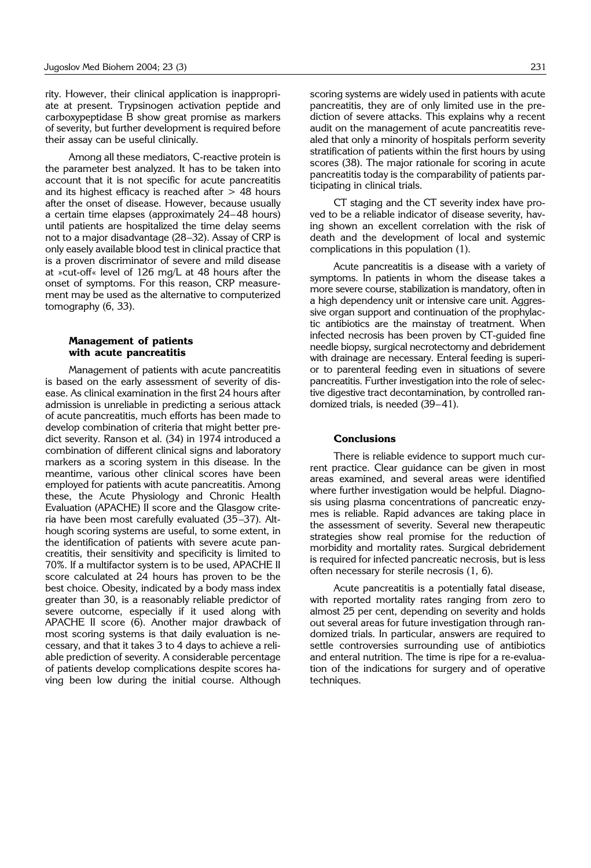rity. However, their clinical application is inappropriate at present. Trypsinogen activation peptide and carboxypeptidase B show great promise as markers of severity, but further development is required before their assay can be useful clinically.

Among all these mediators, C-reactive protein is the parameter best analyzed. It has to be taken into account that it is not specific for acute pancreatitis and its highest efficacy is reached after  $> 48$  hours after the onset of disease. However, because usually a certain time elapses (approximately 24-48 hours) until patients are hospitalized the time delay seems not to a major disadvantage (28-32). Assay of CRP is only easely available blood test in clinical practice that is a proven discriminator of severe and mild disease at »cut-off« level of 126 mg/L at 48 hours after the onset of symptoms. For this reason, CRP measurement may be used as the alternative to computerized tomography (6, 33).

### **Management of patients with acute pancreatitis**

Management of patients with acute pancreatitis is based on the early assessment of severity of disease. As clinical examination in the first 24 hours after admission is unreliable in predicting a serious attack of acute pancreatitis, much efforts has been made to develop combination of criteria that might better predict severity. Ranson et al. (34) in 1974 introduced a combination of different clinical signs and laboratory markers as a scoring system in this disease. In the meantime, various other clinical scores have been employed for patients with acute pancreatitis. Among these, the Acute Physiology and Chronic Health Evaluation (APACHE) II score and the Glasgow criteria have been most carefully evaluated (35-37). Although scoring systems are useful, to some extent, in the identification of patients with severe acute pancreatitis, their sensitivity and specificity is limited to 70%. If a multifactor system is to be used, APACHE II score calculated at 24 hours has proven to be the best choice. Obesity, indicated by a body mass index greater than 30, is a reasonably reliable predictor of severe outcome, especially if it used along with APACHE II score (6). Another major drawback of most scoring systems is that daily evaluation is necessary, and that it takes 3 to 4 days to achieve a reliable prediction of severity. A considerable percentage of patients develop complications despite scores having been low during the initial course. Although

scoring systems are widely used in patients with acute pancreatitis, they are of only limited use in the prediction of severe attacks. This explains why a recent audit on the management of acute pancreatitis revealed that only a minority of hospitals perform severity stratification of patients within the first hours by using scores (38). The major rationale for scoring in acute pancreatitis today is the comparability of patients participating in clinical trials.

CT staging and the CT severity index have proved to be a reliable indicator of disease severity, having shown an excellent correlation with the risk of death and the development of local and systemic complications in this population (1).

Acute pancreatitis is a disease with a variety of symptoms. In patients in whom the disease takes a more severe course, stabilization is mandatory, often in a high dependency unit or intensive care unit. Aggressive organ support and continuation of the prophylactic antibiotics are the mainstay of treatment. When infected necrosis has been proven by CT-guided fine needle biopsy, surgical necrotectomy and debridement with drainage are necessary. Enteral feeding is superior to parenteral feeding even in situations of severe pancreatitis. Further investigation into the role of selective digestive tract decontamination, by controlled randomized trials, is needed  $(39-41)$ .

## **Conclusions**

There is reliable evidence to support much current practice. Clear guidance can be given in most areas examined, and several areas were identified where further investigation would be helpful. Diagnosis using plasma concentrations of pancreatic enzymes is reliable. Rapid advances are taking place in the assessment of severity. Several new therapeutic strategies show real promise for the reduction of morbidity and mortality rates. Surgical debridement is required for infected pancreatic necrosis, but is less often necessary for sterile necrosis (1, 6).

Acute pancreatitis is a potentially fatal disease, with reported mortality rates ranging from zero to almost 25 per cent, depending on severity and holds out several areas for future investigation through randomized trials. In particular, answers are required to settle controversies surrounding use of antibiotics and enteral nutrition. The time is ripe for a re-evaluation of the indications for surgery and of operative techniques.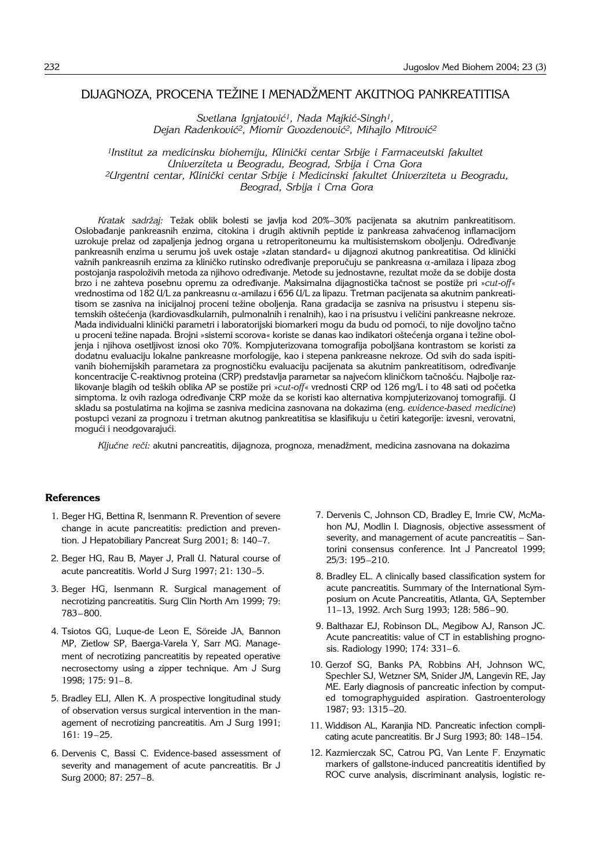# DIJAGNOZA, PROCENA TEŽINE I MENADŽMENT AKUTNOG PANKREATITISA

*Svetlana Ignjatovi}1, Nada Majki}*-*Singh1,*  Dejan Radenković<sup>2</sup>, Miomir Gvozdenović<sup>2</sup>, Mihajlo Mitrović<sup>2</sup>

<sup>1</sup>Institut za medicinsku biohemiju, Klinički centar Srbije i Farmaceutski fakultet *Univerziteta u Beogradu, Beograd, Srbija i Crna Gora* <sup>2</sup>Urgentni centar, Klinički centar Srbije i Medicinski fakultet Univerziteta u Beogradu, *Beograd, Srbija i Crna Gora*

Kratak sadržaj: Težak oblik bolesti se javlja kod 20%-30% pacijenata sa akutnim pankreatitisom. Oslobađanje pankreasnih enzima, citokina i drugih aktivnih peptide iz pankreasa zahvaćenog inflamacijom uzrokuje prelaz od zapaljenja jednog organa u retroperitoneumu ka multisistemskom oboljenju. Određivanje pankreasnih enzima u serumu još uvek ostaje »zlatan standard« u dijagnozi akutnog pankreatitisa. Od klinički važnih pankreasnih enzima za kliničko rutinsko određivanje preporučuju se pankreasna  $\alpha$ -amilaza i lipaza zbog postojanja raspoloživih metoda za njihovo određivanje. Metode su jednostavne, rezultat može da se dobije dosta brzo i ne zahteva posebnu opremu za određivanje. Maksimalna dijagnostička tačnost se postiže pri »*cut-off*« vrednostima od 182 U/L za pankreasnu α-amilazu i 656 U/L za lipazu. Tretman pacijenata sa akutnim pankreatitisom se zasniva na inicijalnoj proceni težine oboljenja. Rana gradacija se zasniva na prisustvu i stepenu sistemskih oštećenja (kardiovasdkularnih, pulmonalnih i renalnih), kao i na prisustvu i veličini pankreasne nekroze. Mada individualni klinički parametri i laboratorijski biomarkeri mogu da budu od pomoći, to nije dovoljno tačno u proceni težine napada. Brojni »sistemi scorova« koriste se danas kao indikatori oštećenja organa i težine oboljenja i njihova osetljivost iznosi oko 70%. Kompjuterizovana tomografija poboljšana kontrastom se koristi za dodatnu evaluaciju lokalne pankreasne morfologije, kao i stepena pankreasne nekroze. Od svih do sada ispitivanih biohemijskih parametara za prognostičku evaluaciju pacijenata sa akutnim pankreatitisom, određivanje koncentracije C-reaktivnog proteina (CRP) predstavlja parametar sa najvećom kliničkom tačnošću. Najbolje razlikovanje blagih od teških oblika AP se postiže pri »*cut-off*« vrednosti CRP od 126 mg/L i to 48 sati od početka simptoma. Iz ovih razloga određivanje CRP može da se koristi kao alternativa kompjuterizovanoj tomografiji. U skladu sa postulatima na kojima se zasniva medicina zasnovana na dokazima (eng. *evidence*-*based medicine*) postupci vezani za prognozu i tretman akutnog pankreatitisa se klasifikuju u četiri kategorije: izvesni, verovatni, mogući i neodgovarajući.

Ključne reči: akutni pancreatitis, dijagnoza, prognoza, menadžment, medicina zasnovana na dokazima

## **References**

- 1. Beger HG, Bettina R, Isenmann R. Prevention of severe change in acute pancreatitis: prediction and prevention. J Hepatobiliary Pancreat Surg 2001; 8: 140-7.
- 2. Beger HG, Rau B, Mayer J, Prall U. Natural course of acute pancreatitis. World J Surg 1997; 21: 130-5.
- 3. Beger HG, Isenmann R. Surgical management of necrotizing pancreatitis. Surg Clin North Am 1999; 79: 783-800.
- 4. Tsiotos GG, Luque-de Leon E, Söreide JA, Bannon MP, Zietlow SP, Baerga-Varela Y, Sarr MG. Management of necrotizing pancreatitis by repeated operative necrosectomy using a zipper technique. Am J Surg 1998: 175: 91-8.
- 5. Bradley ELI, Allen K. A prospective longitudinal study of observation versus surgical intervention in the management of necrotizing pancreatitis. Am J Surg 1991; 161: 19-25.
- 6. Dervenis C, Bassi C. Evidence-based assessment of severity and management of acute pancreatitis. Br J Surg 2000; 87: 257-8.
- 7. Dervenis C, Johnson CD, Bradley E, Imrie CW, McMahon MJ, Modlin I. Diagnosis, objective assessment of severity, and management of acute pancreatitis - Santorini consensus conference. Int J Pancreatol 1999; 25/3: 195-210.
- 8. Bradley EL. A clinically based classification system for acute pancreatitis. Summary of the International Symposium on Acute Pancreatitis, Atlanta, GA, September 11-13, 1992. Arch Surg 1993; 128: 586-90.
- 9. Balthazar EJ, Robinson DL, Megibow AJ, Ranson JC. Acute pancreatitis: value of CT in establishing prognosis. Radiology 1990; 174: 331-6.
- 10. Gerzof SG, Banks PA, Robbins AH, Johnson WC, Spechler SJ, Wetzner SM, Snider JM, Langevin RE, Jay ME. Early diagnosis of pancreatic infection by computed tomographyguided aspiration. Gastroenterology 1987; 93: 1315-20.
- 11. Widdison AL, Karanjia ND. Pancreatic infection complicating acute pancreatitis. Br J Surg 1993; 80: 148-154.
- 12. Kazmierczak SC, Catrou PG, Van Lente F. Enzymatic markers of gallstone-induced pancreatitis identified by ROC curve analysis, discriminant analysis, logistic re-